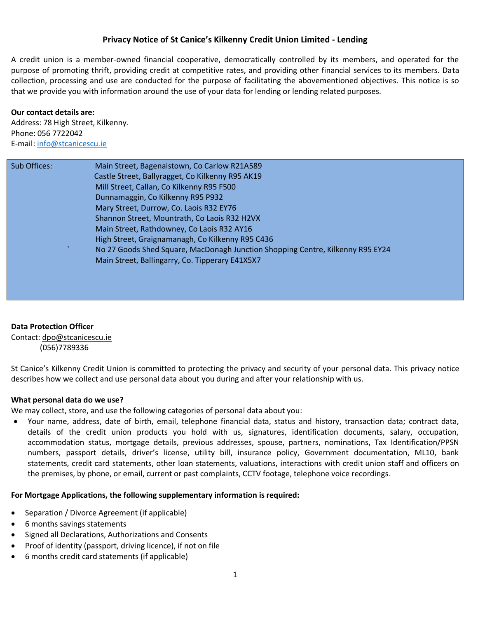# **Privacy Notice of St Canice's Kilkenny Credit Union Limited - Lending**

A credit union is a member-owned financial cooperative, democratically controlled by its members, and operated for the purpose of promoting thrift, providing credit at competitive rates, and providing other financial services to its members. Data collection, processing and use are conducted for the purpose of facilitating the abovementioned objectives. This notice is so that we provide you with information around the use of your data for lending or lending related purposes.

### **Our contact details are:**

Address: 78 High Street, Kilkenny. Phone: 056 7722042 E-mail[: info@stcanicescu.ie](mailto:info@stcanicescu.ie)

| Sub Offices: | Main Street, Bagenalstown, Co Carlow R21A589                                   |
|--------------|--------------------------------------------------------------------------------|
|              | Castle Street, Ballyragget, Co Kilkenny R95 AK19                               |
|              | Mill Street, Callan, Co Kilkenny R95 F500                                      |
|              | Dunnamaggin, Co Kilkenny R95 P932                                              |
|              | Mary Street, Durrow, Co. Laois R32 EY76                                        |
|              | Shannon Street, Mountrath, Co Laois R32 H2VX                                   |
|              | Main Street, Rathdowney, Co Laois R32 AY16                                     |
|              | High Street, Graignamanagh, Co Kilkenny R95 C436                               |
|              | No 27 Goods Shed Square, MacDonagh Junction Shopping Centre, Kilkenny R95 EY24 |
|              | Main Street, Ballingarry, Co. Tipperary E41X5X7                                |
|              |                                                                                |
|              |                                                                                |

## **Data Protection Officer**

Contact: [dpo@stcanicescu.ie](mailto:dpo@stcanicescu.ie) (056)7789336

St Canice's Kilkenny Credit Union is committed to protecting the privacy and security of your personal data. This privacy notice describes how we collect and use personal data about you during and after your relationship with us.

### **What personal data do we use?**

We may collect, store, and use the following categories of personal data about you:

 Your name, address, date of birth, email, telephone financial data, status and history, transaction data; contract data, details of the credit union products you hold with us, signatures, identification documents, salary, occupation, accommodation status, mortgage details, previous addresses, spouse, partners, nominations, Tax Identification/PPSN numbers, passport details, driver's license, utility bill, insurance policy, Government documentation, ML10, bank statements, credit card statements, other loan statements, valuations, interactions with credit union staff and officers on the premises, by phone, or email, current or past complaints, CCTV footage, telephone voice recordings.

### **For Mortgage Applications, the following supplementary information is required:**

- Separation / Divorce Agreement (if applicable)
- 6 months savings statements
- Signed all Declarations, Authorizations and Consents
- Proof of identity (passport, driving licence), if not on file
- 6 months credit card statements (if applicable)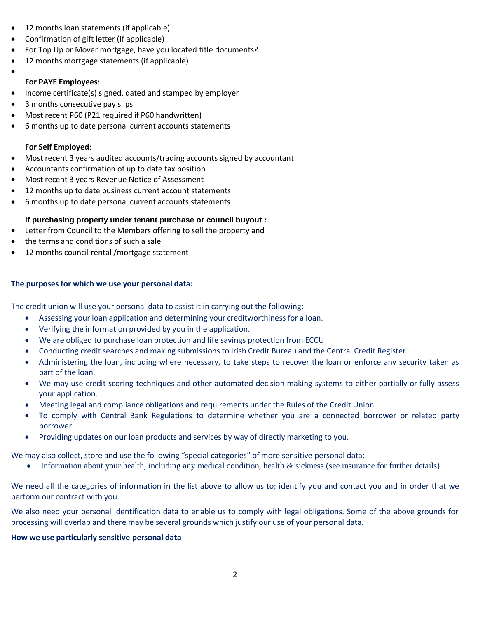- 12 months loan statements (if applicable)
- Confirmation of gift letter (If applicable)
- For Top Up or Mover mortgage, have you located title documents?
- 12 months mortgage statements (if applicable)
- $\bullet$

## **For PAYE Employees**:

- Income certificate(s) signed, dated and stamped by employer
- 3 months consecutive pay slips
- Most recent P60 (P21 required if P60 handwritten)
- 6 months up to date personal current accounts statements

## **For Self Employed**:

- Most recent 3 years audited accounts/trading accounts signed by accountant
- Accountants confirmation of up to date tax position
- Most recent 3 years Revenue Notice of Assessment
- 12 months up to date business current account statements
- 6 months up to date personal current accounts statements

# **If purchasing property under tenant purchase or council buyout :**

- Letter from Council to the Members offering to sell the property and
- the terms and conditions of such a sale
- 12 months council rental /mortgage statement

## **The purposes for which we use your personal data:**

The credit union will use your personal data to assist it in carrying out the following:

- Assessing your loan application and determining your creditworthiness for a loan.
- Verifying the information provided by you in the application.
- We are obliged to purchase loan protection and life savings protection from ECCU
- Conducting credit searches and making submissions to Irish Credit Bureau and the Central Credit Register.
- Administering the loan, including where necessary, to take steps to recover the loan or enforce any security taken as part of the loan.
- We may use credit scoring techniques and other automated decision making systems to either partially or fully assess your application.
- Meeting legal and compliance obligations and requirements under the Rules of the Credit Union.
- To comply with Central Bank Regulations to determine whether you are a connected borrower or related party borrower.
- Providing updates on our loan products and services by way of directly marketing to you.

We may also collect, store and use the following "special categories" of more sensitive personal data:

• Information about your health, including any medical condition, health  $\&$  sickness (see insurance for further details)

We need all the categories of information in the list above to allow us to; identify you and contact you and in order that we perform our contract with you.

We also need your personal identification data to enable us to comply with legal obligations. Some of the above grounds for processing will overlap and there may be several grounds which justify our use of your personal data.

## **How we use particularly sensitive personal data**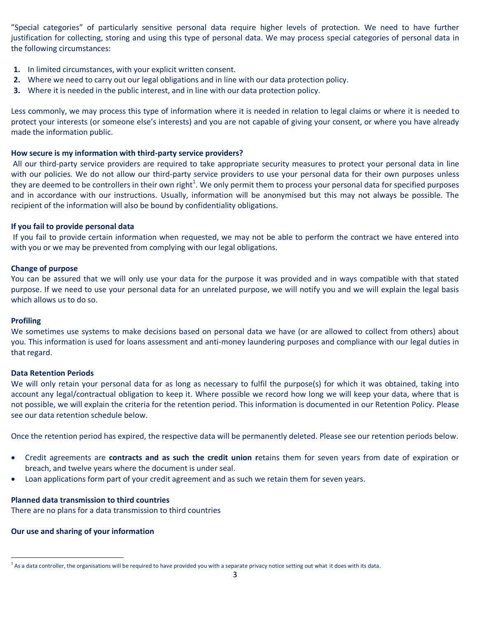"Special categories" of particularly sensitive personal data require higher levels of protection. We need to have further justification for collecting, storing and using this type of personal data. We may process special categories of personal data in the following circumstances:

- **1.** In limited circumstances, with your explicit written consent.
- **2.** Where we need to carry out our legal obligations and in line with our data protection policy.
- **3.** Where it is needed in the public interest, and in line with our data protection policy.

Less commonly, we may process this type of information where it is needed in relation to legal claims or where it is needed to protect your interests (or someone else's interests) and you are not capable of giving your consent, or where you have already made the information public.

### **How secure is my information with third-party service providers?**

All our third-party service providers are required to take appropriate security measures to protect your personal data in line with our policies. We do not allow our third-party service providers to use your personal data for their own purposes unless they are deemed to be controllers in their own right<sup>1</sup>. We only permit them to process your personal data for specified purposes and in accordance with our instructions. Usually, information will be anonymised but this may not always be possible. The recipient of the information will also be bound by confidentiality obligations.

#### **If you fail to provide personal data**

If you fail to provide certain information when requested, we may not be able to perform the contract we have entered into with you or we may be prevented from complying with our legal obligations.

#### **Change of purpose**

You can be assured that we will only use your data for the purpose it was provided and in ways compatible with that stated purpose. If we need to use your personal data for an unrelated purpose, we will notify you and we will explain the legal basis which allows us to do so.

#### **Profiling**

 $\overline{a}$ 

We sometimes use systems to make decisions based on personal data we have (or are allowed to collect from others) about you. This information is used for loans assessment and anti-money laundering purposes and compliance with our legal duties in that regard.

#### **Data Retention Periods**

We will only retain your personal data for as long as necessary to fulfil the purpose(s) for which it was obtained, taking into account any legal/contractual obligation to keep it. Where possible we record how long we will keep your data, where that is not possible, we will explain the criteria for the retention period. This information is documented in our Retention Policy. Please see our data retention schedule below.

Once the retention period has expired, the respective data will be permanently deleted. Please see our retention periods below.

- Credit agreements are **contracts and as such the credit union r**etains them for seven years from date of expiration or breach, and twelve years where the document is under seal.
- Loan applications form part of your credit agreement and as such we retain them for seven years.

#### **Planned data transmission to third countries**

There are no plans for a data transmission to third countries

#### **Our use and sharing of your information**

 $^1$  As a data controller, the organisations will be required to have provided you with a separate privacy notice setting out what it does with its data.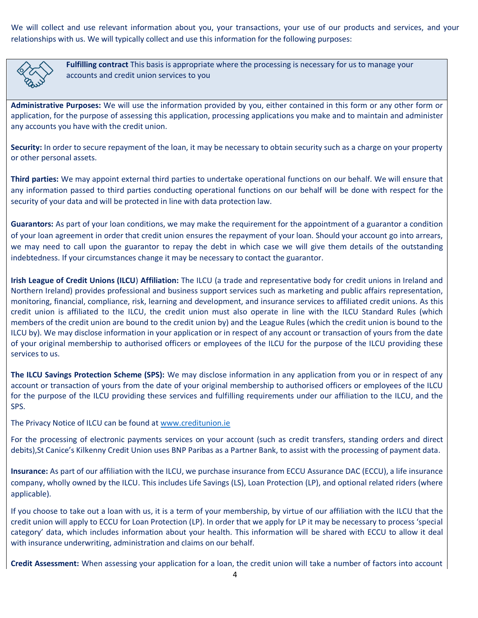We will collect and use relevant information about you, your transactions, your use of our products and services, and your relationships with us. We will typically collect and use this information for the following purposes:



**Fulfilling contract** This basis is appropriate where the processing is necessary for us to manage your accounts and credit union services to you

**Administrative Purposes:** We will use the information provided by you, either contained in this form or any other form or application, for the purpose of assessing this application, processing applications you make and to maintain and administer any accounts you have with the credit union.

**Security:** In order to secure repayment of the loan, it may be necessary to obtain security such as a charge on your property or other personal assets.

**Third parties:** We may appoint external third parties to undertake operational functions on our behalf. We will ensure that any information passed to third parties conducting operational functions on our behalf will be done with respect for the security of your data and will be protected in line with data protection law.

**Guarantors:** As part of your loan conditions, we may make the requirement for the appointment of a guarantor a condition of your loan agreement in order that credit union ensures the repayment of your loan. Should your account go into arrears, we may need to call upon the guarantor to repay the debt in which case we will give them details of the outstanding indebtedness. If your circumstances change it may be necessary to contact the guarantor.

**Irish League of Credit Unions (ILCU**) **Affiliation:** The ILCU (a trade and representative body for credit unions in Ireland and Northern Ireland) provides professional and business support services such as marketing and public affairs representation, monitoring, financial, compliance, risk, learning and development, and insurance services to affiliated credit unions. As this credit union is affiliated to the ILCU, the credit union must also operate in line with the ILCU Standard Rules (which members of the credit union are bound to the credit union by) and the League Rules (which the credit union is bound to the ILCU by). We may disclose information in your application or in respect of any account or transaction of yours from the date of your original membership to authorised officers or employees of the ILCU for the purpose of the ILCU providing these services to us.

**The ILCU Savings Protection Scheme (SPS):** We may disclose information in any application from you or in respect of any account or transaction of yours from the date of your original membership to authorised officers or employees of the ILCU for the purpose of the ILCU providing these services and fulfilling requirements under our affiliation to the ILCU, and the SPS.

The Privacy Notice of ILCU can be found at [www.creditunion.ie](http://www.creditunion.ie/)

For the processing of electronic payments services on your account (such as credit transfers, standing orders and direct debits),St Canice's Kilkenny Credit Union uses BNP Paribas as a Partner Bank, to assist with the processing of payment data.

**Insurance:** As part of our affiliation with the ILCU, we purchase insurance from ECCU Assurance DAC (ECCU), a life insurance company, wholly owned by the ILCU. This includes Life Savings (LS), Loan Protection (LP), and optional related riders (where applicable).

If you choose to take out a loan with us, it is a term of your membership, by virtue of our affiliation with the ILCU that the credit union will apply to ECCU for Loan Protection (LP). In order that we apply for LP it may be necessary to process 'special category' data, which includes information about your health. This information will be shared with ECCU to allow it deal with insurance underwriting, administration and claims on our behalf.

**Credit Assessment:** When assessing your application for a loan, the credit union will take a number of factors into account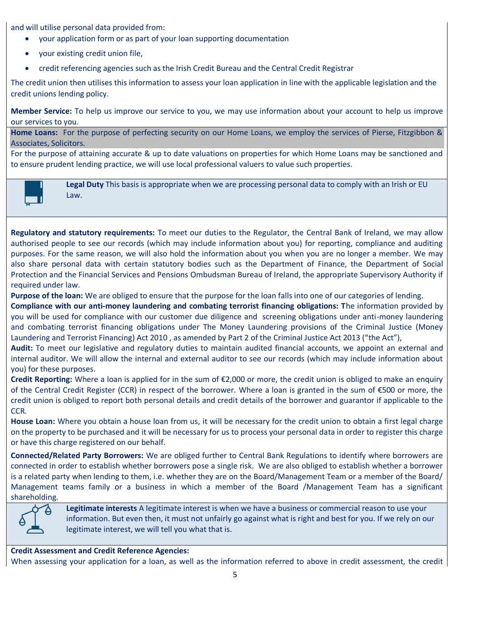and will utilise personal data provided from:

- your application form or as part of your loan supporting documentation
- your existing credit union file,
- credit referencing agencies such as the Irish Credit Bureau and the Central Credit Registrar

The credit union then utilises this information to assess your loan application in line with the applicable legislation and the credit unions lending policy.

**Member Service:** To help us improve our service to you, we may use information about your account to help us improve our services to you.

**Home Loans:** For the purpose of perfecting security on our Home Loans, we employ the services of Pierse, Fitzgibbon & Associates, Solicitors.

For the purpose of attaining accurate & up to date valuations on properties for which Home Loans may be sanctioned and to ensure prudent lending practice, we will use local professional valuers to value such properties.



**Legal Duty** This basis is appropriate when we are processing personal data to comply with an Irish or EU Law.

**Regulatory and statutory requirements:** To meet our duties to the Regulator, the Central Bank of Ireland, we may allow authorised people to see our records (which may include information about you) for reporting, compliance and auditing purposes. For the same reason, we will also hold the information about you when you are no longer a member. We may also share personal data with certain statutory bodies such as the Department of Finance, the Department of Social Protection and the Financial Services and Pensions Ombudsman Bureau of Ireland, the appropriate Supervisory Authority if required under law.

**Purpose of the loan:** We are obliged to ensure that the purpose for the loan falls into one of our categories of lending.

**Compliance with our anti-money laundering and combating terrorist financing obligations: T**he information provided by you will be used for compliance with our customer due diligence and screening obligations under anti-money laundering and combating terrorist financing obligations under The Money Laundering provisions of the Criminal Justice (Money Laundering and Terrorist Financing) Act 2010 , as amended by Part 2 of the Criminal Justice Act 2013 ("the Act"),

**Audit:** To meet our legislative and regulatory duties to maintain audited financial accounts, we appoint an external and internal auditor. We will allow the internal and external auditor to see our records (which may include information about you) for these purposes.

**Credit Reporting:** Where a loan is applied for in the sum of €2,000 or more, the credit union is obliged to make an enquiry of the Central Credit Register (CCR) in respect of the borrower. Where a loan is granted in the sum of €500 or more, the credit union is obliged to report both personal details and credit details of the borrower and guarantor if applicable to the CCR.

**House Loan:** Where you obtain a house loan from us, it will be necessary for the credit union to obtain a first legal charge on the property to be purchased and it will be necessary for us to process your personal data in order to register this charge or have this charge registered on our behalf.

**Connected/Related Party Borrowers:** We are obliged further to Central Bank Regulations to identify where borrowers are connected in order to establish whether borrowers pose a single risk. We are also obliged to establish whether a borrower is a related party when lending to them, i.e. whether they are on the Board/Management Team or a member of the Board/ Management teams family or a business in which a member of the Board /Management Team has a significant shareholding.



**Legitimate interests** A legitimate interest is when we have a business or commercial reason to use your information. But even then, it must not unfairly go against what is right and best for you. If we rely on our legitimate interest, we will tell you what that is.

## **Credit Assessment and Credit Reference Agencies:**

When assessing your application for a loan, as well as the information referred to above in credit assessment, the credit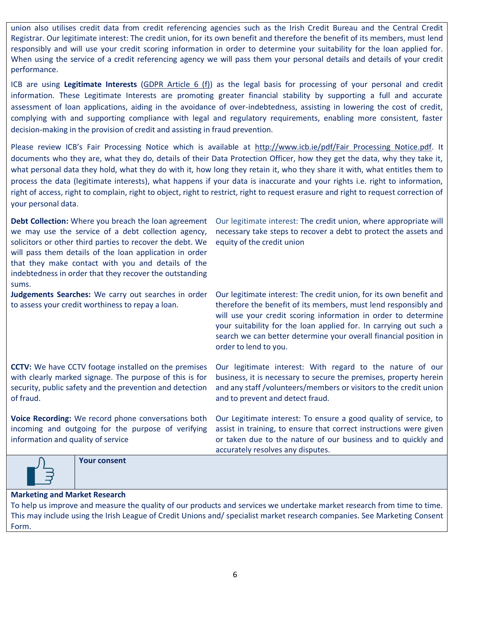union also utilises credit data from credit referencing agencies such as the Irish Credit Bureau and the Central Credit Registrar. Our legitimate interest: The credit union, for its own benefit and therefore the benefit of its members, must lend responsibly and will use your credit scoring information in order to determine your suitability for the loan applied for. When using the service of a credit referencing agency we will pass them your personal details and details of your credit performance.

ICB are using **Legitimate Interests** [\(GDPR Article 6 \(f\)\)](https://scanmail.trustwave.com/?c=6600&d=x6y82twc0kKW5mgMlAlb4526oLiq--5jUgMCHmTQUw&s=58&u=https%3a%2f%2fgdpr-info%2eeu%2fart-6-gdpr%2f) as the legal basis for processing of your personal and credit information. These Legitimate Interests are promoting greater financial stability by supporting a full and accurate assessment of loan applications, aiding in the avoidance of over-indebtedness, assisting in lowering the cost of credit, complying with and supporting compliance with legal and regulatory requirements, enabling more consistent, faster decision-making in the provision of credit and assisting in fraud prevention.

Please review ICB's Fair Processing Notice which is available at [http://www.icb.ie/pdf/Fair Processing Notice.pdf.](http://scanmail.trustwave.com/?c=6600&d=x6y82twc0kKW5mgMlAlb4526oLiq--5jUgAMFWXQWg&s=58&u=http%3a%2f%2fwww%2eicb%2eie%2fpdf%2fFair%20Processing%20Notice%2epdf) It documents who they are, what they do, details of their Data Protection Officer, how they get the data, why they take it, what personal data they hold, what they do with it, how long they retain it, who they share it with, what entitles them to process the data (legitimate interests), what happens if your data is inaccurate and your rights i.e. right to information, right of access, right to complain, right to object, right to restrict, right to request erasure and right to request correction of your personal data.

| Debt Collection: Where you breach the loan agreement<br>we may use the service of a debt collection agency,<br>solicitors or other third parties to recover the debt. We<br>will pass them details of the loan application in order<br>that they make contact with you and details of the<br>indebtedness in order that they recover the outstanding<br>sums. | Our legitimate interest: The credit union, where appropriate will<br>necessary take steps to recover a debt to protect the assets and<br>equity of the credit union                                                                                                                                                                                                        |  |  |
|---------------------------------------------------------------------------------------------------------------------------------------------------------------------------------------------------------------------------------------------------------------------------------------------------------------------------------------------------------------|----------------------------------------------------------------------------------------------------------------------------------------------------------------------------------------------------------------------------------------------------------------------------------------------------------------------------------------------------------------------------|--|--|
| Judgements Searches: We carry out searches in order<br>to assess your credit worthiness to repay a loan.                                                                                                                                                                                                                                                      | Our legitimate interest: The credit union, for its own benefit and<br>therefore the benefit of its members, must lend responsibly and<br>will use your credit scoring information in order to determine<br>your suitability for the loan applied for. In carrying out such a<br>search we can better determine your overall financial position in<br>order to lend to you. |  |  |
| <b>CCTV:</b> We have CCTV footage installed on the premises<br>with clearly marked signage. The purpose of this is for<br>security, public safety and the prevention and detection<br>of fraud.                                                                                                                                                               | Our legitimate interest: With regard to the nature of our<br>business, it is necessary to secure the premises, property herein<br>and any staff /volunteers/members or visitors to the credit union<br>and to prevent and detect fraud.                                                                                                                                    |  |  |
| Voice Recording: We record phone conversations both<br>incoming and outgoing for the purpose of verifying<br>information and quality of service                                                                                                                                                                                                               | Our Legitimate interest: To ensure a good quality of service, to<br>assist in training, to ensure that correct instructions were given<br>or taken due to the nature of our business and to quickly and<br>accurately resolves any disputes.                                                                                                                               |  |  |
| <b>Your consent</b>                                                                                                                                                                                                                                                                                                                                           |                                                                                                                                                                                                                                                                                                                                                                            |  |  |
| <b>Marketing and Market Research</b>                                                                                                                                                                                                                                                                                                                          |                                                                                                                                                                                                                                                                                                                                                                            |  |  |

To help us improve and measure the quality of our products and services we undertake market research from time to time. This may include using the Irish League of Credit Unions and/ specialist market research companies. See Marketing Consent Form.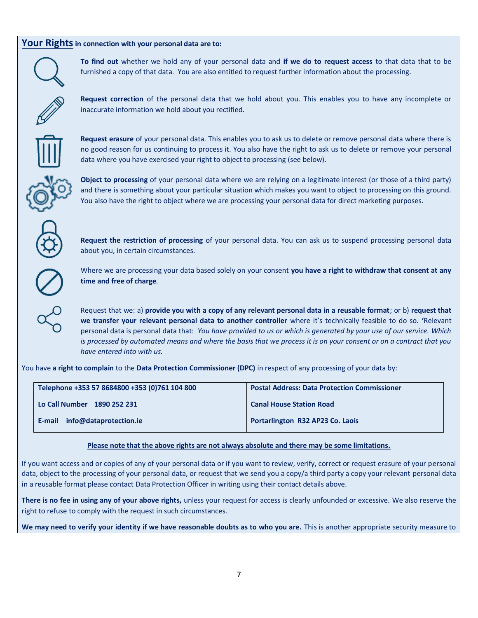### **Your Rightsin connection with your personal data are to:**



**To find out** whether we hold any of your personal data and **if we do to request access** to that data that to be furnished a copy of that data. You are also entitled to request further information about the processing.



**Request correction** of the personal data that we hold about you. This enables you to have any incomplete or inaccurate information we hold about you rectified.



**Request erasure** of your personal data. This enables you to ask us to delete or remove personal data where there is no good reason for us continuing to process it. You also have the right to ask us to delete or remove your personal data where you have exercised your right to object to processing (see below).



**Object to processing** of your personal data where we are relying on a legitimate interest (or those of a third party) and there is something about your particular situation which makes you want to object to processing on this ground. You also have the right to object where we are processing your personal data for direct marketing purposes.

**Request the restriction of processing** of your personal data. You can ask us to suspend processing personal data about you, in certain circumstances.



Where we are processing your data based solely on your consent **you have a right to withdraw that consent at any time and free of charge**.

Request that we: a) **provide you with a copy of any relevant personal data in a reusable format**; or b) **request that we transfer your relevant personal data to another controller** where it's technically feasible to do so. **'**Relevant personal data is personal data that: *You have provided to us or which is generated by your use of our service. Which is processed by automated means and where the basis that we process it is on your consent or on a contract that you have entered into with us.*

You have **a right to complain** to the **Data Protection Commissioner (DPC)** in respect of any processing of your data by:

| Telephone +353 57 8684800 +353 (0)761 104 800 | <b>Postal Address: Data Protection Commissioner</b> |
|-----------------------------------------------|-----------------------------------------------------|
| Lo Call Number 1890 252 231                   | <b>Canal House Station Road</b>                     |
| info@dataprotection.ie<br>E-mail              | <b>Portarlington R32 AP23 Co. Laois</b>             |

#### **Please note that the above rights are not always absolute and there may be some limitations.**

If you want access and or copies of any of your personal data or if you want to review, verify, correct or request erasure of your personal data, object to the processing of your personal data, or request that we send you a copy/a third party a copy your relevant personal data in a reusable format please contact Data Protection Officer in writing using their contact details above.

**There is no fee in using any of your above rights,** unless your request for access is clearly unfounded or excessive. We also reserve the right to refuse to comply with the request in such circumstances.

We may need to verify your identity if we have reasonable doubts as to who you are. This is another appropriate security measure to